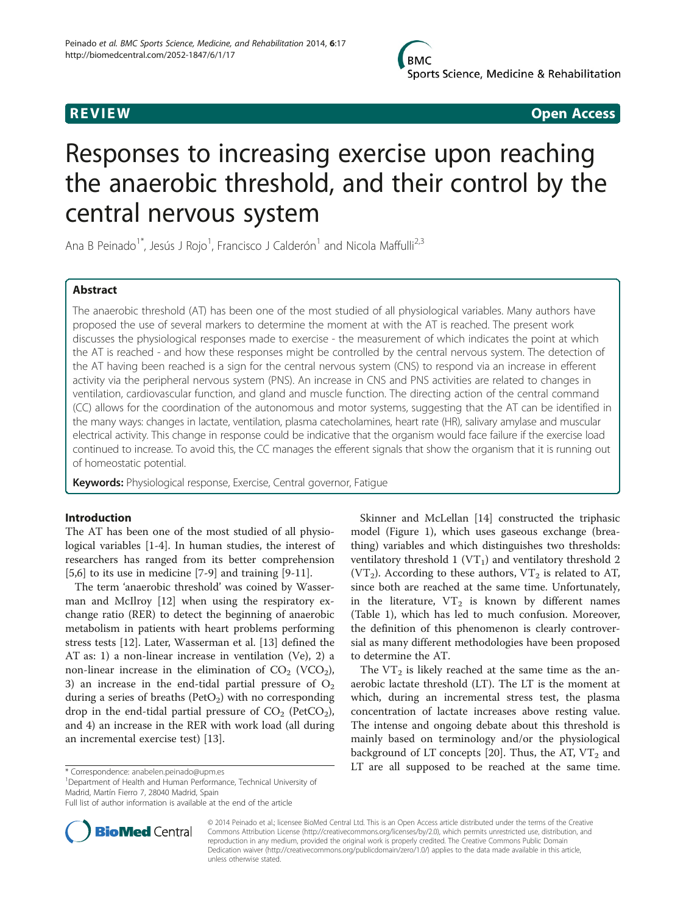

**REVIEW CONSIDERING CONSIDERING CONSIDERING CONSIDERING CONSIDERING CONSIDERING CONSIDERING CONSIDERING CONSIDERING CONSIDERING CONSIDERING CONSIDERING CONSIDERING CONSIDERING CONSIDERING CONSIDERING CONSIDERING CONSIDER** 

# Responses to increasing exercise upon reaching the anaerobic threshold, and their control by the central nervous system

Ana B Peinado<sup>1\*</sup>, Jesús J Rojo<sup>1</sup>, Francisco J Calderón<sup>1</sup> and Nicola Maffulli<sup>2,3</sup>

# Abstract

The anaerobic threshold (AT) has been one of the most studied of all physiological variables. Many authors have proposed the use of several markers to determine the moment at with the AT is reached. The present work discusses the physiological responses made to exercise - the measurement of which indicates the point at which the AT is reached - and how these responses might be controlled by the central nervous system. The detection of the AT having been reached is a sign for the central nervous system (CNS) to respond via an increase in efferent activity via the peripheral nervous system (PNS). An increase in CNS and PNS activities are related to changes in ventilation, cardiovascular function, and gland and muscle function. The directing action of the central command (CC) allows for the coordination of the autonomous and motor systems, suggesting that the AT can be identified in the many ways: changes in lactate, ventilation, plasma catecholamines, heart rate (HR), salivary amylase and muscular electrical activity. This change in response could be indicative that the organism would face failure if the exercise load continued to increase. To avoid this, the CC manages the efferent signals that show the organism that it is running out of homeostatic potential.

Keywords: Physiological response, Exercise, Central governor, Fatigue

# Introduction

The AT has been one of the most studied of all physiological variables [\[1](#page-5-0)-[4\]](#page-6-0). In human studies, the interest of researchers has ranged from its better comprehension [[5,6\]](#page-6-0) to its use in medicine [\[7](#page-6-0)-[9\]](#page-6-0) and training [[9-11](#page-6-0)].

The term 'anaerobic threshold' was coined by Wasserman and McIlroy [[12\]](#page-6-0) when using the respiratory exchange ratio (RER) to detect the beginning of anaerobic metabolism in patients with heart problems performing stress tests [\[12\]](#page-6-0). Later, Wasserman et al. [\[13](#page-6-0)] defined the AT as: 1) a non-linear increase in ventilation (Ve), 2) a non-linear increase in the elimination of  $CO<sub>2</sub>$  (VCO<sub>2</sub>), 3) an increase in the end-tidal partial pressure of  $O_2$ during a series of breaths ( $PetO<sub>2</sub>$ ) with no corresponding drop in the end-tidal partial pressure of  $CO<sub>2</sub>$  (PetCO<sub>2</sub>), and 4) an increase in the RER with work load (all during an incremental exercise test) [\[13\]](#page-6-0).

<sup>1</sup>Department of Health and Human Performance, Technical University of Madrid, Martín Fierro 7, 28040 Madrid, Spain

Full list of author information is available at the end of the article



Skinner and McLellan [\[14\]](#page-6-0) constructed the triphasic model (Figure [1\)](#page-1-0), which uses gaseous exchange (breathing) variables and which distinguishes two thresholds: ventilatory threshold  $1 (VT<sub>1</sub>)$  and ventilatory threshold 2 (VT<sub>2</sub>). According to these authors, VT<sub>2</sub> is related to AT, since both are reached at the same time. Unfortunately, in the literature,  $VT_2$  is known by different names (Table [1](#page-1-0)), which has led to much confusion. Moreover, the definition of this phenomenon is clearly controversial as many different methodologies have been proposed to determine the AT.

The  $VT_2$  is likely reached at the same time as the anaerobic lactate threshold (LT). The LT is the moment at which, during an incremental stress test, the plasma concentration of lactate increases above resting value. The intense and ongoing debate about this threshold is mainly based on terminology and/or the physiological background of LT concepts [\[20\]](#page-6-0). Thus, the AT,  $VT_2$  and \*Correspondence: [anabelen.peinado@upm.es](mailto:anabelen.peinado@upm.es) 1.1 T are all supposed to be reached at the same time.

> © 2014 Peinado et al.; licensee BioMed Central Ltd. This is an Open Access article distributed under the terms of the Creative Commons Attribution License [\(http://creativecommons.org/licenses/by/2.0\)](http://creativecommons.org/licenses/by/2.0), which permits unrestricted use, distribution, and reproduction in any medium, provided the original work is properly credited. The Creative Commons Public Domain Dedication waiver [\(http://creativecommons.org/publicdomain/zero/1.0/](http://creativecommons.org/publicdomain/zero/1.0/)) applies to the data made available in this article, unless otherwise stated.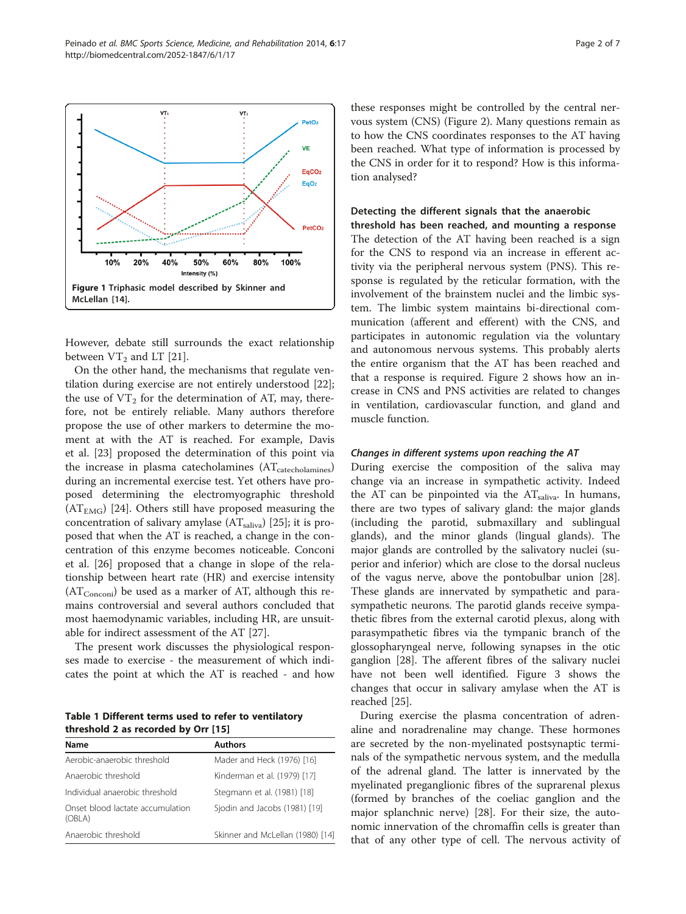However, debate still surrounds the exact relationship between  $VT_2$  and LT [[21\]](#page-6-0).

On the other hand, the mechanisms that regulate ventilation during exercise are not entirely understood [\[22](#page-6-0)]; the use of  $VT_2$  for the determination of AT, may, therefore, not be entirely reliable. Many authors therefore propose the use of other markers to determine the moment at with the AT is reached. For example, Davis et al. [[23\]](#page-6-0) proposed the determination of this point via the increase in plasma catecholamines (AT<sub>catecholamines</sub>) during an incremental exercise test. Yet others have proposed determining the electromyographic threshold  $(AT<sub>EMG</sub>)$  [\[24](#page-6-0)]. Others still have proposed measuring the concentration of salivary amylase  $(AT_{\text{saliva}})$  [[25\]](#page-6-0); it is proposed that when the AT is reached, a change in the concentration of this enzyme becomes noticeable. Conconi et al. [[26\]](#page-6-0) proposed that a change in slope of the relationship between heart rate (HR) and exercise intensity  $(AT_{Conconi})$  be used as a marker of AT, although this remains controversial and several authors concluded that most haemodynamic variables, including HR, are unsuitable for indirect assessment of the AT [\[27\]](#page-6-0).

The present work discusses the physiological responses made to exercise - the measurement of which indicates the point at which the AT is reached - and how

Table 1 Different terms used to refer to ventilatory threshold 2 as recorded by Orr [[15\]](#page-6-0)

| Name                                       | <b>Authors</b>                   |
|--------------------------------------------|----------------------------------|
| Aerobic-anaerobic threshold                | Mader and Heck (1976) [16]       |
| Anaerobic threshold                        | Kinderman et al. (1979) [17]     |
| Individual anaerobic threshold             | Stegmann et al. (1981) [18]      |
| Onset blood lactate accumulation<br>(OBLA) | Sjodin and Jacobs (1981) [19]    |
| Anaerobic threshold                        | Skinner and McLellan (1980) [14] |

these responses might be controlled by the central nervous system (CNS) (Figure [2](#page-2-0)). Many questions remain as to how the CNS coordinates responses to the AT having been reached. What type of information is processed by the CNS in order for it to respond? How is this information analysed?

# Detecting the different signals that the anaerobic

threshold has been reached, and mounting a response The detection of the AT having been reached is a sign for the CNS to respond via an increase in efferent activity via the peripheral nervous system (PNS). This response is regulated by the reticular formation, with the involvement of the brainstem nuclei and the limbic system. The limbic system maintains bi-directional communication (afferent and efferent) with the CNS, and participates in autonomic regulation via the voluntary and autonomous nervous systems. This probably alerts the entire organism that the AT has been reached and that a response is required. Figure [2](#page-2-0) shows how an increase in CNS and PNS activities are related to changes in ventilation, cardiovascular function, and gland and muscle function.

#### Changes in different systems upon reaching the AT

During exercise the composition of the saliva may change via an increase in sympathetic activity. Indeed the AT can be pinpointed via the  $AT_{\text{saliva}}$ . In humans, there are two types of salivary gland: the major glands (including the parotid, submaxillary and sublingual glands), and the minor glands (lingual glands). The major glands are controlled by the salivatory nuclei (superior and inferior) which are close to the dorsal nucleus of the vagus nerve, above the pontobulbar union [\[28](#page-6-0)]. These glands are innervated by sympathetic and parasympathetic neurons. The parotid glands receive sympathetic fibres from the external carotid plexus, along with parasympathetic fibres via the tympanic branch of the glossopharyngeal nerve, following synapses in the otic ganglion [\[28\]](#page-6-0). The afferent fibres of the salivary nuclei have not been well identified. Figure [3](#page-3-0) shows the changes that occur in salivary amylase when the AT is reached [[25](#page-6-0)].

During exercise the plasma concentration of adrenaline and noradrenaline may change. These hormones are secreted by the non-myelinated postsynaptic terminals of the sympathetic nervous system, and the medulla of the adrenal gland. The latter is innervated by the myelinated preganglionic fibres of the suprarenal plexus (formed by branches of the coeliac ganglion and the major splanchnic nerve) [\[28](#page-6-0)]. For their size, the autonomic innervation of the chromaffin cells is greater than that of any other type of cell. The nervous activity of

VT:

VT<sub>1</sub>



<span id="page-1-0"></span>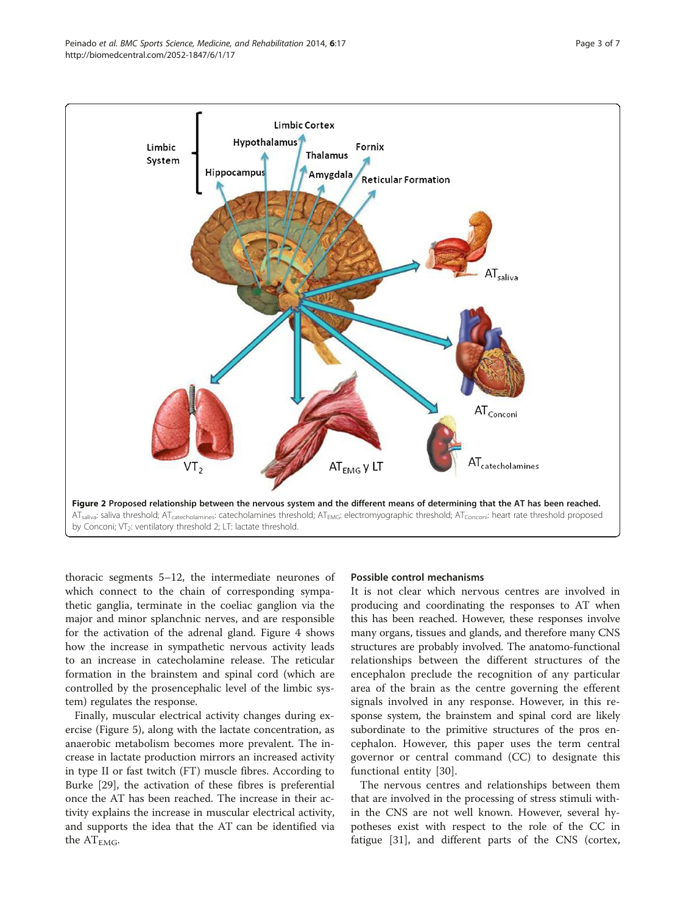<span id="page-2-0"></span>

thoracic segments 5–12, the intermediate neurones of which connect to the chain of corresponding sympathetic ganglia, terminate in the coeliac ganglion via the major and minor splanchnic nerves, and are responsible for the activation of the adrenal gland. Figure [4](#page-4-0) shows how the increase in sympathetic nervous activity leads to an increase in catecholamine release. The reticular formation in the brainstem and spinal cord (which are controlled by the prosencephalic level of the limbic system) regulates the response.

Finally, muscular electrical activity changes during exercise (Figure [5\)](#page-5-0), along with the lactate concentration, as anaerobic metabolism becomes more prevalent. The increase in lactate production mirrors an increased activity in type II or fast twitch (FT) muscle fibres. According to Burke [\[29](#page-6-0)], the activation of these fibres is preferential once the AT has been reached. The increase in their activity explains the increase in muscular electrical activity, and supports the idea that the AT can be identified via the  $AT_{EMG}$ .

### Possible control mechanisms

It is not clear which nervous centres are involved in producing and coordinating the responses to AT when this has been reached. However, these responses involve many organs, tissues and glands, and therefore many CNS structures are probably involved. The anatomo-functional relationships between the different structures of the encephalon preclude the recognition of any particular area of the brain as the centre governing the efferent signals involved in any response. However, in this response system, the brainstem and spinal cord are likely subordinate to the primitive structures of the pros encephalon. However, this paper uses the term central governor or central command (CC) to designate this functional entity [[30\]](#page-6-0).

The nervous centres and relationships between them that are involved in the processing of stress stimuli within the CNS are not well known. However, several hypotheses exist with respect to the role of the CC in fatigue [\[31](#page-6-0)], and different parts of the CNS (cortex,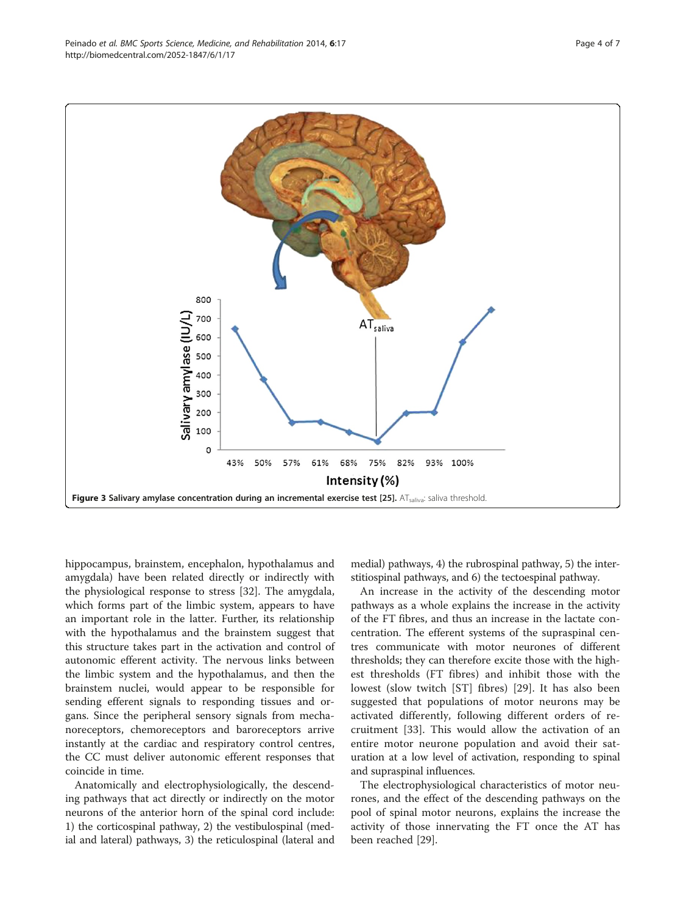<span id="page-3-0"></span>

hippocampus, brainstem, encephalon, hypothalamus and amygdala) have been related directly or indirectly with the physiological response to stress [\[32\]](#page-6-0). The amygdala, which forms part of the limbic system, appears to have an important role in the latter. Further, its relationship with the hypothalamus and the brainstem suggest that this structure takes part in the activation and control of autonomic efferent activity. The nervous links between the limbic system and the hypothalamus, and then the brainstem nuclei, would appear to be responsible for sending efferent signals to responding tissues and organs. Since the peripheral sensory signals from mechanoreceptors, chemoreceptors and baroreceptors arrive instantly at the cardiac and respiratory control centres, the CC must deliver autonomic efferent responses that coincide in time.

Anatomically and electrophysiologically, the descending pathways that act directly or indirectly on the motor neurons of the anterior horn of the spinal cord include: 1) the corticospinal pathway, 2) the vestibulospinal (medial and lateral) pathways, 3) the reticulospinal (lateral and

medial) pathways, 4) the rubrospinal pathway, 5) the interstitiospinal pathways, and 6) the tectoespinal pathway.

An increase in the activity of the descending motor pathways as a whole explains the increase in the activity of the FT fibres, and thus an increase in the lactate concentration. The efferent systems of the supraspinal centres communicate with motor neurones of different thresholds; they can therefore excite those with the highest thresholds (FT fibres) and inhibit those with the lowest (slow twitch [ST] fibres) [[29\]](#page-6-0). It has also been suggested that populations of motor neurons may be activated differently, following different orders of recruitment [[33\]](#page-6-0). This would allow the activation of an entire motor neurone population and avoid their saturation at a low level of activation, responding to spinal and supraspinal influences.

The electrophysiological characteristics of motor neurones, and the effect of the descending pathways on the pool of spinal motor neurons, explains the increase the activity of those innervating the FT once the AT has been reached [[29\]](#page-6-0).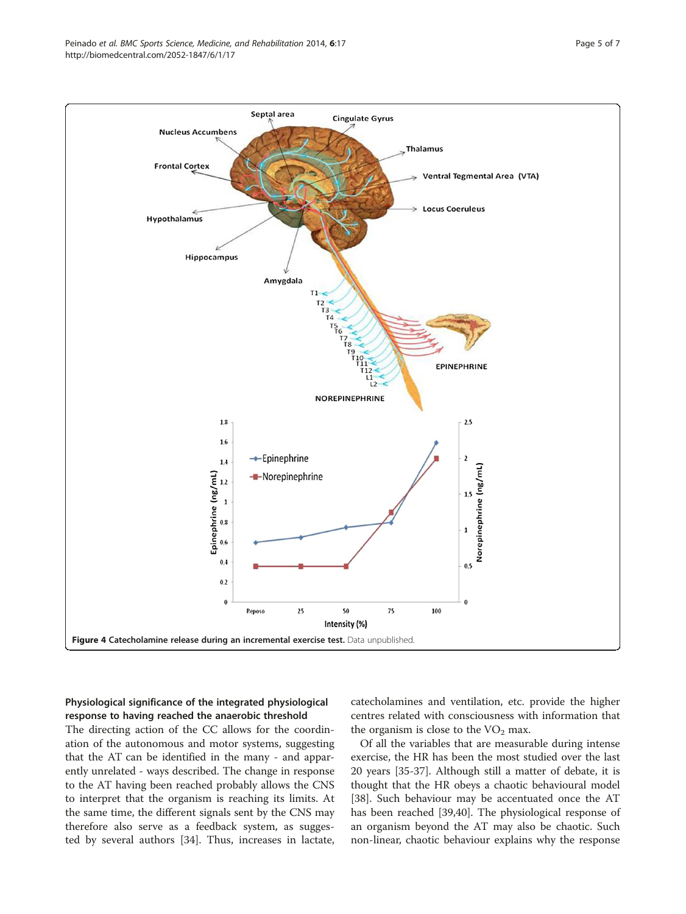<span id="page-4-0"></span>

# Physiological significance of the integrated physiological response to having reached the anaerobic threshold

The directing action of the CC allows for the coordination of the autonomous and motor systems, suggesting that the AT can be identified in the many - and apparently unrelated - ways described. The change in response to the AT having been reached probably allows the CNS to interpret that the organism is reaching its limits. At the same time, the different signals sent by the CNS may therefore also serve as a feedback system, as suggested by several authors [[34\]](#page-6-0). Thus, increases in lactate, catecholamines and ventilation, etc. provide the higher centres related with consciousness with information that the organism is close to the  $VO<sub>2</sub>$  max.

Of all the variables that are measurable during intense exercise, the HR has been the most studied over the last 20 years [\[35-37](#page-6-0)]. Although still a matter of debate, it is thought that the HR obeys a chaotic behavioural model [[38\]](#page-6-0). Such behaviour may be accentuated once the AT has been reached [[39,40\]](#page-6-0). The physiological response of an organism beyond the AT may also be chaotic. Such non-linear, chaotic behaviour explains why the response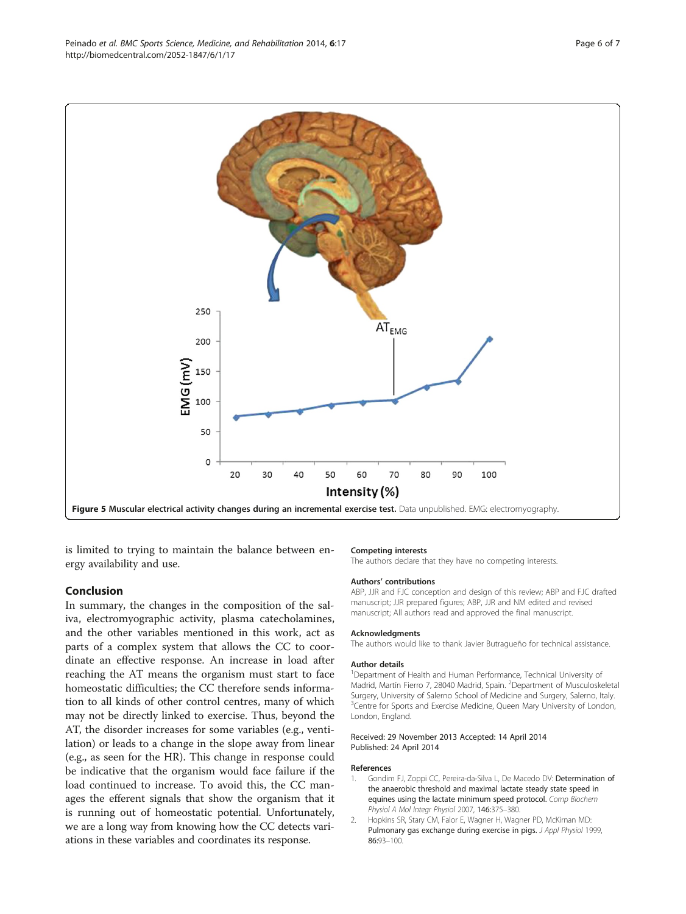<span id="page-5-0"></span>

is limited to trying to maintain the balance between energy availability and use.

### Conclusion

In summary, the changes in the composition of the saliva, electromyographic activity, plasma catecholamines, and the other variables mentioned in this work, act as parts of a complex system that allows the CC to coordinate an effective response. An increase in load after reaching the AT means the organism must start to face homeostatic difficulties; the CC therefore sends information to all kinds of other control centres, many of which may not be directly linked to exercise. Thus, beyond the AT, the disorder increases for some variables (e.g., ventilation) or leads to a change in the slope away from linear (e.g., as seen for the HR). This change in response could be indicative that the organism would face failure if the load continued to increase. To avoid this, the CC manages the efferent signals that show the organism that it is running out of homeostatic potential. Unfortunately, we are a long way from knowing how the CC detects variations in these variables and coordinates its response.

#### Competing interests

The authors declare that they have no competing interests.

#### Authors' contributions

ABP, JJR and FJC conception and design of this review; ABP and FJC drafted manuscript; JJR prepared figures; ABP, JJR and NM edited and revised manuscript; All authors read and approved the final manuscript.

#### Acknowledgments

The authors would like to thank Javier Butragueño for technical assistance.

#### Author details

<sup>1</sup>Department of Health and Human Performance, Technical University of Madrid, Martín Fierro 7, 28040 Madrid, Spain. <sup>2</sup>Department of Musculoskeletal Surgery, University of Salerno School of Medicine and Surgery, Salerno, Italy. <sup>3</sup> Centre for Sports and Exercise Medicine, Queen Mary University of London London, England.

#### Received: 29 November 2013 Accepted: 14 April 2014 Published: 24 April 2014

#### References

- Gondim FJ, Zoppi CC, Pereira-da-Silva L, De Macedo DV: Determination of the anaerobic threshold and maximal lactate steady state speed in equines using the lactate minimum speed protocol. Comp Biochem Physiol A Mol Integr Physiol 2007, 146:375–380.
- 2. Hopkins SR, Stary CM, Falor E, Wagner H, Wagner PD, McKirnan MD: Pulmonary gas exchange during exercise in pigs. J Appl Physiol 1999, 86:93–100.